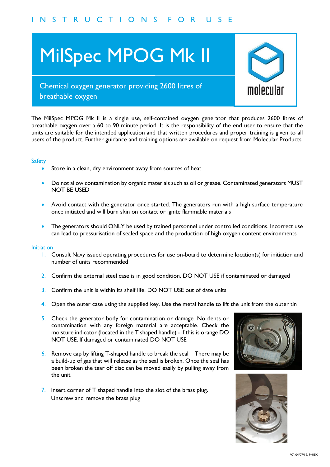# MilSpec MPOG Mk II



# Chemical oxygen generator providing 2600 litres of breathable oxygen

The MilSpec MPOG Mk II is a single use, self-contained oxygen generator that produces 2600 litres of breathable oxygen over a 60 to 90 minute period. It is the responsibility of the end user to ensure that the units are suitable for the intended application and that written procedures and proper training is given to all users of the product. Further guidance and training options are available on request from Molecular Products.

## **Safety**

- Store in a clean, dry environment away from sources of heat
- I, dry environment away from sources of heat<br>
portamination by organic materials such as oil or grease. Contan<br>
with the generator once started. The generators run with a<br>
l<br>
with the generator once started. The generators • Do not allow contamination by organic materials such as oil or grease. Contaminated generators MUST NOT BE USED
- Avoid contact with the generator once started. The generators run with a high surface temperature once initiated and will burn skin on contact or ignite flammable materials
- The generators should ONLY be used by trained personnel under controlled conditions. Incorrect use can lead to pressurisation of sealed space and the production of high oxygen content environments

#### Initiation

- 1. Consult Navy issued operating procedures for use on-board to determine location(s) for initiation and number of units recommended
- 2. Confirm the external steel case is in good condition. DO NOT USE if contaminated or damaged
- 3. Confirm the unit is within its shelf life. DO NOT USE out of date units
- 4. Open the outer case using the supplied key. Use the metal handle to lift the unit from the outer tin
- 5. Check the generator body for contamination or damage. No dents or contamination with any foreign material are acceptable. Check the moisture indicator (located in the T shaped handle) - if this is orange DO NOT USE. If damaged or contaminated DO NOT USE
- 6. Remove cap by lifting T-shaped handle to break the seal There may be a build-up of gas that will release as the seal is broken. Once the seal has been broken the tear off disc can be moved easily by pulling away from the unit
- 7. Insert corner of T shaped handle into the slot of the brass plug. Unscrew and remove the brass plug